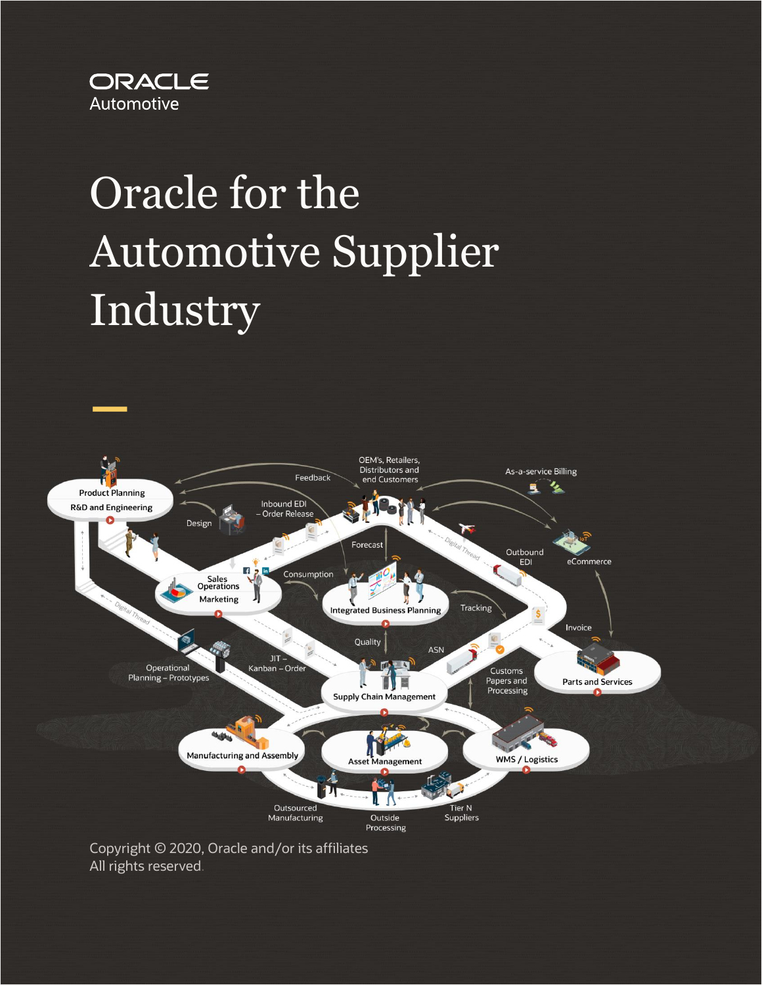

# Oracle for the Automotive Supplier Industry



All rights reserved.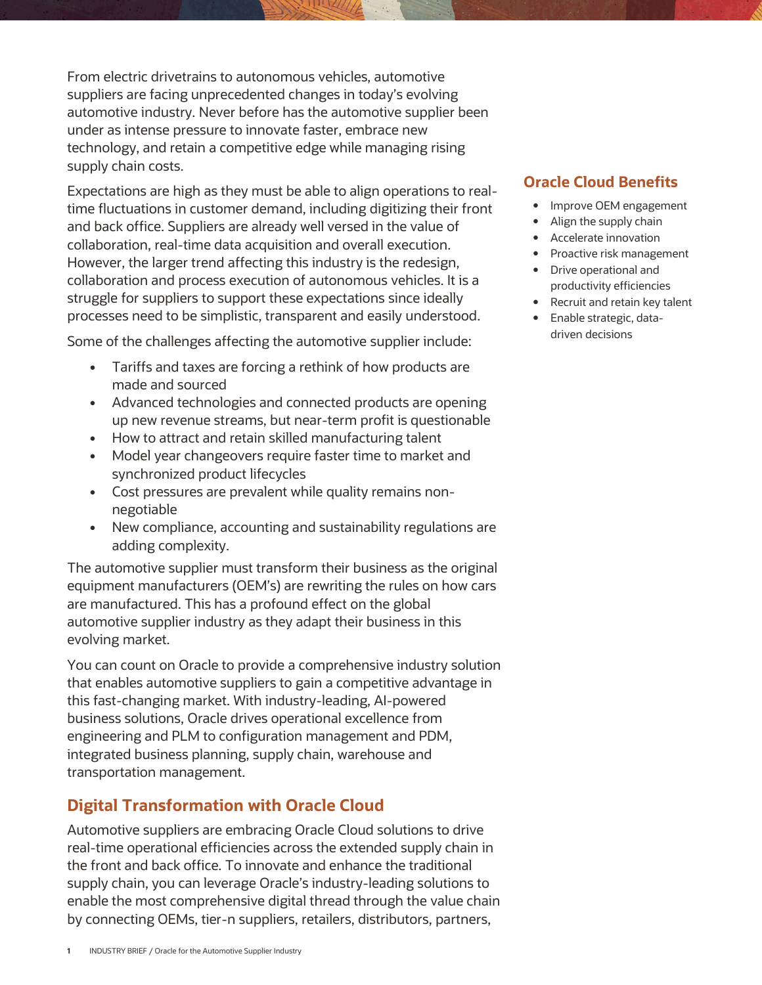From electric drivetrains to autonomous vehicles, automotive suppliers are facing unprecedented changes in today's evolving automotive industry. Never before has the automotive supplier been under as intense pressure to innovate faster, embrace new technology, and retain a competitive edge while managing rising supply chain costs.

Expectations are high as they must be able to align operations to realtime fluctuations in customer demand, including digitizing their front and back office. Suppliers are already well versed in the value of collaboration, real-time data acquisition and overall execution. However, the larger trend affecting this industry is the redesign, collaboration and process execution of autonomous vehicles. It is a struggle for suppliers to support these expectations since ideally processes need to be simplistic, transparent and easily understood.

Some of the challenges affecting the automotive supplier include:

- Tariffs and taxes are forcing a rethink of how products are made and sourced
- Advanced technologies and connected products are opening up new revenue streams, but near-term profit is questionable
- How to attract and retain skilled manufacturing talent
- Model year changeovers require faster time to market and synchronized product lifecycles
- Cost pressures are prevalent while quality remains nonnegotiable
- New compliance, accounting and sustainability regulations are adding complexity.

The automotive supplier must transform their business as the original equipment manufacturers (OEM's) are rewriting the rules on how cars are manufactured. This has a profound effect on the global automotive supplier industry as they adapt their business in this evolving market.

You can count on Oracle to provide a comprehensive industry solution that enables automotive suppliers to gain a competitive advantage in this fast-changing market. With industry-leading, AI-powered business solutions, Oracle drives operational excellence from engineering and PLM to configuration management and PDM, integrated business planning, supply chain, warehouse and transportation management.

# **Digital Transformation with Oracle Cloud**

Automotive suppliers are embracing Oracle Cloud solutions to drive real-time operational efficiencies across the extended supply chain in the front and back office. To innovate and enhance the traditional supply chain, you can leverage Oracle's industry-leading solutions to enable the most comprehensive digital thread through the value chain by connecting OEMs, tier-n suppliers, retailers, distributors, partners,

## **Oracle Cloud Benefits**

- Improve OEM engagement
- Align the supply chain
- Accelerate innovation
- Proactive risk management
- Drive operational and productivity efficiencies
- Recruit and retain key talent
- Enable strategic, datadriven decisions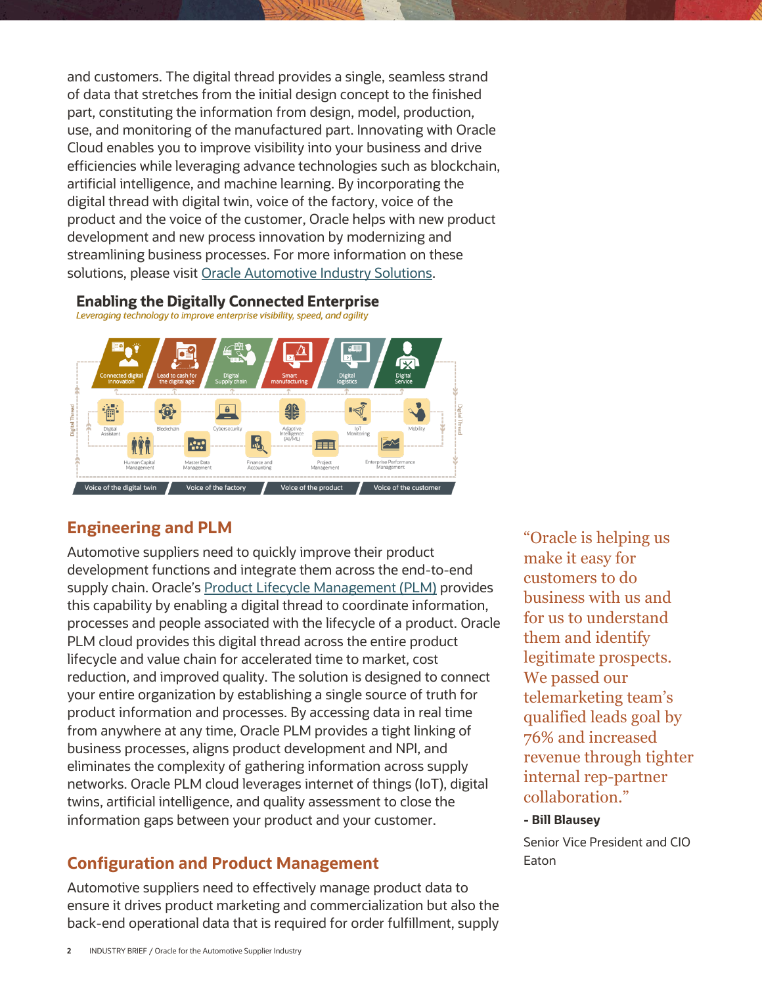and customers. The digital thread provides a single, seamless strand of data that stretches from the initial design concept to the finished part, constituting the information from design, model, production, use, and monitoring of the manufactured part. Innovating with Oracle Cloud enables you to improve visibility into your business and drive efficiencies while leveraging advance technologies such as blockchain, artificial intelligence, and machine learning. By incorporating the digital thread with digital twin, voice of the factory, voice of the product and the voice of the customer, Oracle helps with new product development and new process innovation by modernizing and streamlining business processes. For more information on these solutions, please visi[t Oracle Automotive Industry Solutions.](https://www.oracle.com/industries/automotive/)

### **Enabling the Digitally Connected Enterprise**

Leveraging technology to improve enterprise visibility, speed, and agility



## **Engineering and PLM**

Automotive suppliers need to quickly improve their product development functions and integrate them across the end-to-end supply chain. Oracle's [Product Lifecycle Management \(PLM\)](https://www.oracle.com/applications/supply-chain-management/solutions/product-lifecycle-management-cloud.html) provides this capability by enabling a digital thread to coordinate information, processes and people associated with the lifecycle of a product. Oracle PLM cloud provides this digital thread across the entire product lifecycle and value chain for accelerated time to market, cost reduction, and improved quality. The solution is designed to connect your entire organization by establishing a single source of truth for product information and processes. By accessing data in real time from anywhere at any time, Oracle PLM provides a tight linking of business processes, aligns product development and NPI, and eliminates the complexity of gathering information across supply networks. Oracle PLM cloud leverages internet of things (IoT), digital twins, artificial intelligence, and quality assessment to close the information gaps between your product and your customer.

## **Configuration and Product Management**

Automotive suppliers need to effectively manage product data to ensure it drives product marketing and commercialization but also the back-end operational data that is required for order fulfillment, supply

"Oracle is helping us make it easy for customers to do business with us and for us to understand them and identify legitimate prospects. We passed our telemarketing team's qualified leads goal by 76% and increased revenue through tighter internal rep-partner collaboration."

#### **- Bill Blausey**

Senior Vice President and CIO Eaton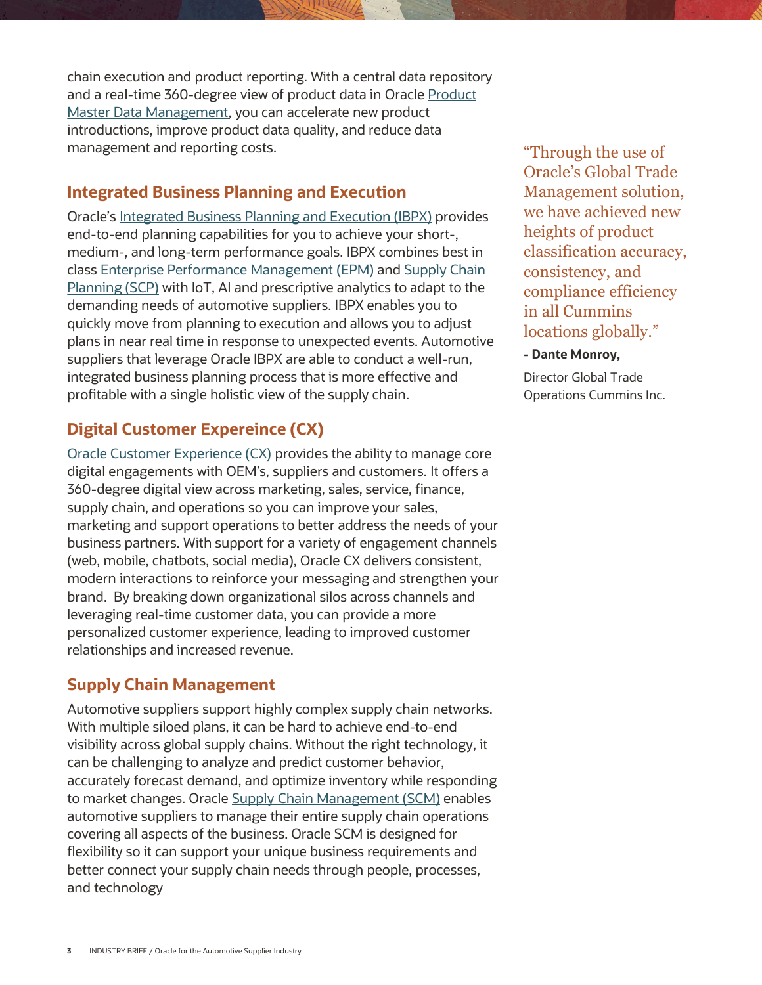chain execution and product reporting. With a central data repository and a real-time 360-degree view of product data in Oracle [Product](https://www.oracle.com/applications/supply-chain-management/product-master-data-management/)  [Master Data Management,](https://www.oracle.com/applications/supply-chain-management/product-master-data-management/) you can accelerate new product introductions, improve product data quality, and reduce data management and reporting costs.

## **Integrated Business Planning and Execution**

Oracle's [Integrated Business Planning and Execution \(IBPX\)](https://www.oracle.com/industries/high-tech/integrated-business-planning-execution.html) provides end-to-end planning capabilities for you to achieve your short-, medium-, and long-term performance goals. IBPX combines best in clas[s Enterprise Performance Management \(EPM\)](https://www.oracle.com/applications/performance-management/) an[d Supply Chain](https://www.oracle.com/applications/supply-chain-management/supply-chain-planning/)  [Planning \(SCP\)](https://www.oracle.com/applications/supply-chain-management/supply-chain-planning/) with IoT, AI and prescriptive analytics to adapt to the demanding needs of automotive suppliers. IBPX enables you to quickly move from planning to execution and allows you to adjust plans in near real time in response to unexpected events. Automotive suppliers that leverage Oracle IBPX are able to conduct a well-run, integrated business planning process that is more effective and profitable with a single holistic view of the supply chain.

# **Digital Customer Expereince (CX)**

[Oracle Customer Experience \(CX\)](https://www.oracle.com/industries/automotive/modern-sales-and-marketing-for-automotive.html) provides the ability to manage core digital engagements with OEM's, suppliers and customers. It offers a 360-degree digital view across marketing, sales, service, finance, supply chain, and operations so you can improve your sales, marketing and support operations to better address the needs of your business partners. With support for a variety of engagement channels (web, mobile, chatbots, social media), Oracle CX delivers consistent, modern interactions to reinforce your messaging and strengthen your brand. By breaking down organizational silos across channels and leveraging real-time customer data, you can provide a more personalized customer experience, leading to improved customer relationships and increased revenue.

# **Supply Chain Management**

Automotive suppliers support highly complex supply chain networks. With multiple siloed plans, it can be hard to achieve end-to-end visibility across global supply chains. Without the right technology, it can be challenging to analyze and predict customer behavior, accurately forecast demand, and optimize inventory while responding to market changes. Oracle [Supply Chain Management \(SCM\)](https://www.oracle.com/applications/supply-chain-management/) enables automotive suppliers to manage their entire supply chain operations covering all aspects of the business. Oracle SCM is designed for flexibility so it can support your unique business requirements and better connect your supply chain needs through people, processes, and technology

"Through the use of Oracle's Global Trade Management solution, we have achieved new heights of product classification accuracy, consistency, and compliance efficiency in all Cummins locations globally."

#### **- Dante Monroy,**

Director Global Trade Operations Cummins Inc.